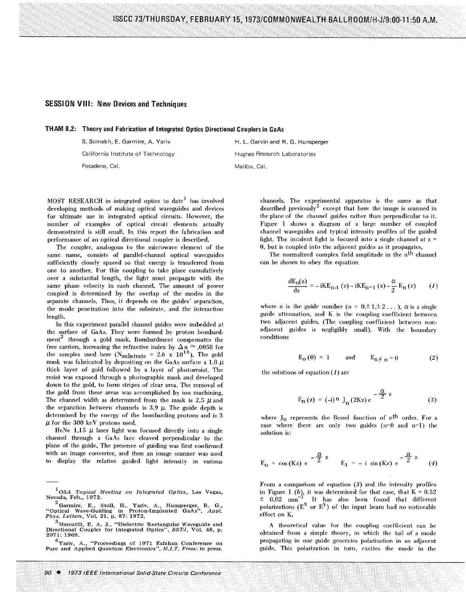## ISSCC 73/THURSDAY, FEBRUARY 15, 1973/COMMONWEALTH BALLROOM/H-J/9:00-11:50 A.M.

## **SESSION VIII: New Devices and Techniques**

## **THAM 8.2: Theory and Fabrication of integrated Optics Directional Couplers in GaAs**

S. **Somekh,** E. **Garmire, A. Yariv H. L. Garvin and** R. **G. Hunsperger California Institute of Technology Hughes Research Laboratories** Pasadena, Cal. **Malibu, Cal. 2018** 

MOST RESEARCH in integrated optics to date<sup>1</sup> has involved developing methods of making optical waveguides and devices for ultimate use in integrated optical circuits. However, the number of examples of optical circuit elements actually demonstrated is still small. In this report the fabrication and performance of an optical directional coupler is described.

The coupler, analogous to the microwave element of the same name, consists of parallel-channel optical waveguides sufficiently closely spaced so that energy is transferred from one to another. For this coupling to take place cumulatively over a substantial length, the light must propagate with the same phase velocity in each channel. The amount of power coupled is determined by the overlap of the modes in the separate channels. Thus, it depends on the guides' separation, the mode penetration into the substrate, and the interaction length.

In this experiment parallel channel guides were imbedded at the surface of GaAs. They were formed by proton bombard $ment<sup>2</sup>$  through a gold mask. Bombardment compensates the free carriers, increasing the refractive index by  $\Delta n \approx 0.0058$  for the samples used here  $(N_{substrate} = 2.6 \times 10^{18})$ . The gold mask was fabricated by depositing on the GaAs surface a  $1.8 \mu$ thick layer of gold followed by a layer of photoresist, The resist was exposed through a photographic mask and developed down to the gold, to form stripes of clear area. The removal of the gold from these areas was accomplished by ion machining. The channel width as determined from the mask is 2.5  $\mu$  and the separation between channels is  $3.9 \mu$ . The guide depth is determined by the energy of the bombarding protons and is **3**   $\mu$  for the 300 keV protons used.

HeNe  $1.15 \mu$  laser light was focused directly into a single channel through a GaAs face cleaved perpendicular to the plane of the guide. The presence of guiding was first confirmed with an image converter, and then an image scanner was used to display the relative guided light intensity in various

 $\overline{\phantom{0}}$ 

**2071; 1969. 4Yariv. A., "Proceedings of 1971 Esfahan Conference on Pure and Applied Quantum Electronics", M.I.T.** *Press;* in **press.**  channels. The xperimental apparatus is the same as that described previously<sup>2</sup> except that here the image is scanned in the plane of the channel guides rather than perpendicular to it. Figure **I** shows a diagram of a large number of coupled channel waveguides and typical intensity profiles of the guided light. The incident light is focused into a single channel at **z** = 0, but is coupled into the adjacent guides as it propagates. aveguides and typical intensity profiles of the guided<br>incident light is focused into a single channel at  $z =$ <br>oupled into the adjacent guides as it propagates.<br>ormalized complex field amplitude in the n<sup>th</sup> channel<br>won t

The normalized complex field amplitude in the n<sup>th</sup> channel can be shown to obey the equation

$$
\frac{dE_{n}(z)}{dz} = -iKE_{n-1}(z) - iKE_{n+1}(z) - \frac{\alpha}{2} E_{n}(z)
$$
 (1)

where n is the guide number  $(n = 0, \pm 1, \pm 2, ...)$ ,  $\alpha$  is a single guide attenuation, and K is the coupling coefficient between two adjacent guides. (The coupling coefficient between nonadjacent guides is negligibly small). With the boundary conditions

$$
E_0(0) = 1
$$
 and  $E_{n \neq 0} = 0$  (2)

the solutions of equation *(1)* are

$$
E_n(z) = (-i)^n J_n(2Kz) e^{-\frac{\alpha}{2}z}
$$
 (3)

where  $J_n$  represents the Bessel function of n<sup>th</sup> order. For a case where there are only two guides  $(n=0 \text{ and } n=1)$  the solution is:

solution is:  
\n
$$
E_0 = \cos(Kz) e^{-\frac{\alpha}{2}z}
$$
  $E_1 = -i \sin(Kz) e^{-\frac{\alpha}{2}z}$  (4)

From a comparison of equation *(3)* and the intensity profiles in Figure 1 (b), it was determined for that case, that  $K = 0.52$  $\pm$  0.02 mm<sup>-1</sup> It has also been found that different polarizations  $(E^X \text{ or } E^Y)$  of the input beam had no noticeable effect on K.

**A** theoretical value for the coupling coefficient can be obtained from a simple theory, in which the tail **of** a mode propagating in one guide generates polarization in an adjacent guide. This polarization in turn, excites the mode in the

*<sup>&#</sup>x27;OSA* **Topical** *Meeting on Integrated* **Optics, Las Vegas, Nevada, Feb., 1972.** 

**<sup>2</sup>Garrnire, E., Stoll, H., Yariv, A., Hunsperger, R. G.,**  "Optical Wave-Guiding in Proton-Implanted GaAs", *Appl.* Phys. Letters, Vol. 21, p. 87; 1972.

<sup>&</sup>lt;sup>3</sup> Marcatili, E. A. J., "Dielectric Rectangular Waveguide and Directional Coupler for Integrated Optics", *BSTJ*, Vol. 48, p.